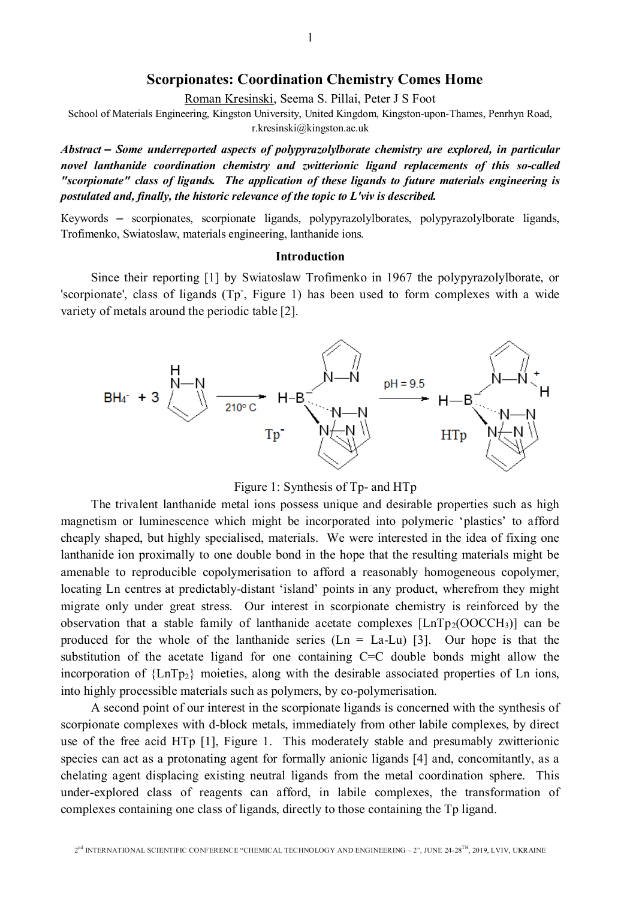# Scorpionates: Coordination Chemistry Comes Home

Roman Kresinski, Seema S. Pillai, Peter J S Foot

School of Materials Engineering, Kingston University, United Kingdom, Kingston-upon-Thames, Penrhyn Road, r.kresinski@kingston.ac.uk

*Abstract – Some underreported aspects of polypyrazolylborate chemistry are explored, in particular novel lanthanide coordination chemistry and zwitterionic ligand replacements of this so-called "scorpionate" class of ligands. The application of these ligands to future materials engineering is postulated and, finally, the historic relevance of the topic to L'viv is described.* 

Кеуwords – scorpionates, scorpionate ligands, polypyrazolylborates, polypyrazolylborate ligands, Trofimenko, Swiatoslaw, materials engineering, lanthanide ions.

#### Introduction

Since their reporting [1] by Swiatoslaw Trofimenko in 1967 the polypyrazolylborate, or 'scorpionate', class of ligands (Tp., Figure 1) has been used to form complexes with a wide variety of metals around the periodic table [2].



Figure 1: Synthesis of Tp- and HTp

The trivalent lanthanide metal ions possess unique and desirable properties such as high magnetism or luminescence which might be incorporated into polymeric 'plastics' to afford cheaply shaped, but highly specialised, materials. We were interested in the idea of fixing one lanthanide ion proximally to one double bond in the hope that the resulting materials might be amenable to reproducible copolymerisation to afford a reasonably homogeneous copolymer, locating Ln centres at predictably-distant 'island' points in any product, wherefrom they might migrate only under great stress. Our interest in scorpionate chemistry is reinforced by the observation that a stable family of lanthanide acetate complexes  $[LnTp_2(OOCCH_3)]$  can be produced for the whole of the lanthanide series  $(Ln = La-Lu)$  [3]. Our hope is that the substitution of the acetate ligand for one containing C=C double bonds might allow the incorporation of  ${LnTop_2}$  moieties, along with the desirable associated properties of Ln ions, into highly processible materials such as polymers, by co-polymerisation.

A second point of our interest in the scorpionate ligands is concerned with the synthesis of scorpionate complexes with d-block metals, immediately from other labile complexes, by direct use of the free acid HTp [1], Figure 1. This moderately stable and presumably zwitterionic species can act as a protonating agent for formally anionic ligands [4] and, concomitantly, as a chelating agent displacing existing neutral ligands from the metal coordination sphere. This under-explored class of reagents can afford, in labile complexes, the transformation of complexes containing one class of ligands, directly to those containing the Tp ligand.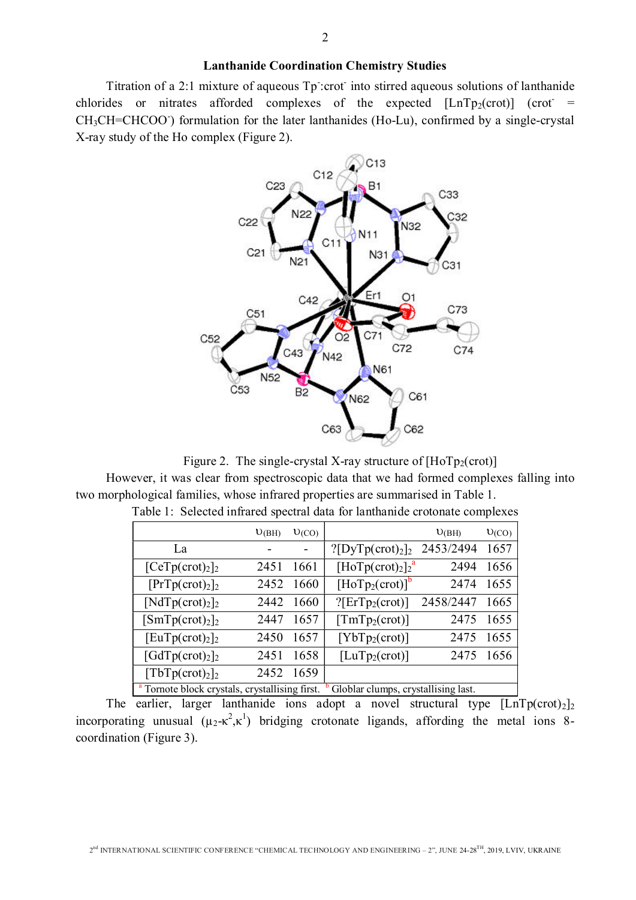### Lanthanide Coordination Chemistry Studies

Titration of a 2:1 mixture of aqueous Tp: crot-into stirred aqueous solutions of lanthanide chlorides or nitrates afforded complexes of the expected  $[LnTp_2(crot)]$  (crot = CH<sub>3</sub>CH=CHCOO<sup>-</sup>) formulation for the later lanthanides (Ho-Lu), confirmed by a single-crystal X-ray study of the Ho complex (Figure 2).



Figure 2. The single-crystal X-ray structure of  $[HoTp_2(crot)]$ 

However, it was clear from spectroscopic data that we had formed complexes falling into two morphological families, whose infrared properties are summarised in Table 1.

|                                                                                                  | U(BH) | U(CO) |                                  | U(BH)     | U(CO) |
|--------------------------------------------------------------------------------------------------|-------|-------|----------------------------------|-----------|-------|
| La                                                                                               |       |       | ? [DyTp(crot) <sub>2</sub> ]     | 2453/2494 | 1657  |
| [CeTp(crot) <sub>2</sub> ]                                                                       | 2451  | 1661  | $[HoTp(crot)_2]_2^a$             | 2494      | 1656  |
| [PrTp(crot) <sub>2</sub> ]                                                                       | 2452  | 1660  | $[\text{HoTp}_2(\text{crot})]^b$ | 2474      | 1655  |
| $[NdTp(crot)2]$ <sub>2</sub>                                                                     | 2442  | 1660  | ?[Erfp <sub>2</sub> (crot)]      | 2458/2447 | 1665  |
| [SmTp(crot) <sub>2</sub> ]                                                                       | 2447  | 1657  | $\text{TmTp}_2(\text{crot})$     | 2475      | 1655  |
| $[EuTp(crot)_2]_2$                                                                               | 2450  | 1657  | $[YbTp_2(crot)]$                 | 2475      | 1655  |
| $\lceil \text{GdTp}(\text{crot})_2 \rceil_2$                                                     | 2451  | 1658  | $[LuTp_2(crot)]$                 | 2475      | 1656  |
| [TbTp(crot) <sub>2</sub> ]                                                                       | 2452  | 1659  |                                  |           |       |
| <sup>a</sup> Tornote block crystals, crystallising first.<br>Globlar clumps, crystallising last. |       |       |                                  |           |       |

Table 1: Selected infrared spectral data for lanthanide crotonate complexes

The earlier, larger lanthanide ions adopt a novel structural type  $\left[\text{Ln} \text{Tp}(\text{crot})_2\right]_2$ incorporating unusual  $(\mu_2 - \kappa^2, \kappa^1)$  bridging crotonate ligands, affording the metal ions 8coordination (Figure 3).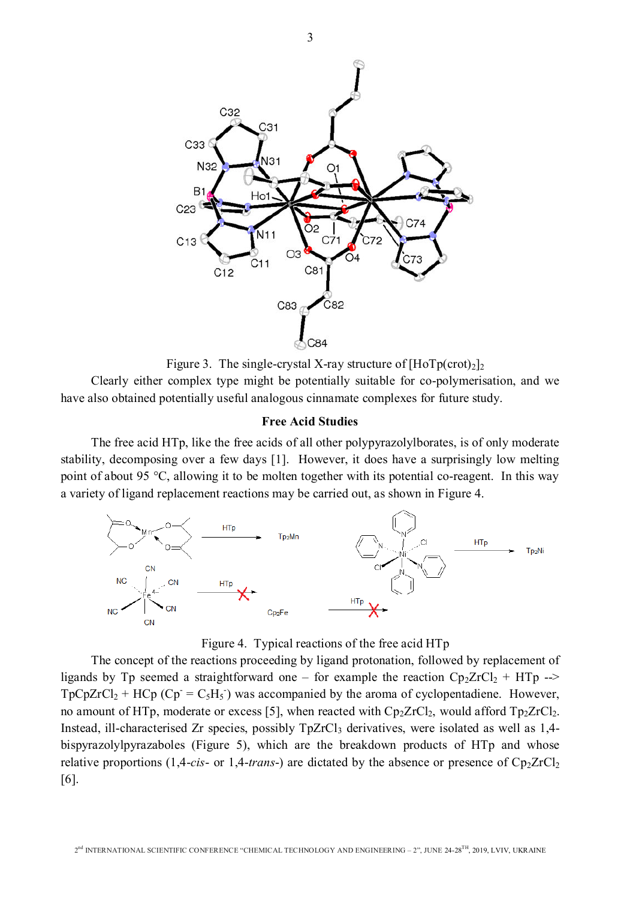



Clearly either complex type might be potentially suitable for co-polymerisation, and we have also obtained potentially useful analogous cinnamate complexes for future study.

#### Free Acid Studies

The free acid HTp, like the free acids of all other polypyrazolylborates, is of only moderate stability, decomposing over a few days [1]. However, it does have a surprisingly low melting point of about 95 °C, allowing it to be molten together with its potential co-reagent. In this way a variety of ligand replacement reactions may be carried out, as shown in Figure 4.





The concept of the reactions proceeding by ligand protonation, followed by replacement of ligands by Tp seemed a straightforward one – for example the reaction  $Cp_2ZrCl_2$  + HTp -->  $TpCpZrCl_2 + HCp(Cp = C_5H_5)$  was accompanied by the aroma of cyclopentadiene. However, no amount of HTp, moderate or excess [5], when reacted with  $Cp_2ZrCl_2$ , would afford  $Tp_2ZrCl_2$ . Instead, ill-characterised Zr species, possibly  $TpZrCl_3$  derivatives, were isolated as well as 1,4bispyrazolylpyrazaboles (Figure 5), which are the breakdown products of HTp and whose relative proportions  $(1,4\text{-}cis\text{-}$  or  $1,4\text{-}trans\text{-}$ ) are dictated by the absence or presence of  $Cp_2ZrCl_2$ [6].